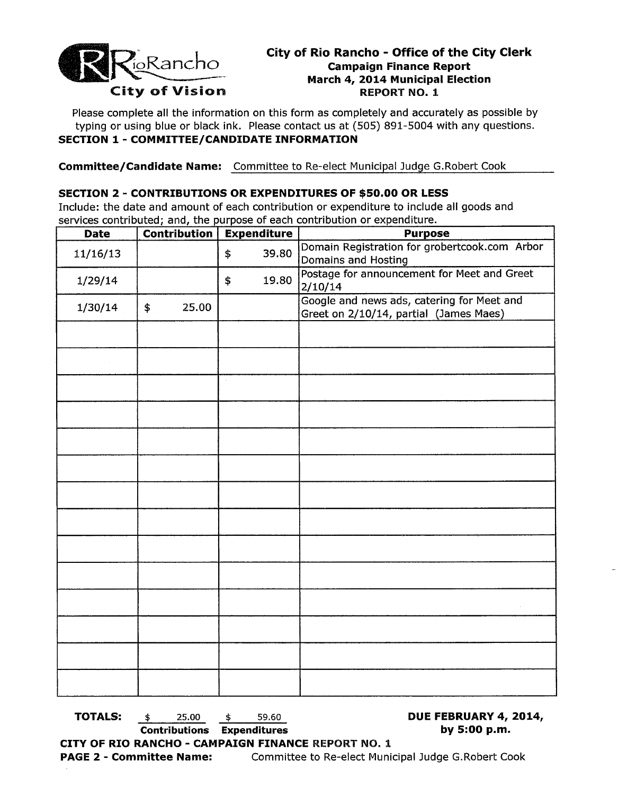

# **City of Rio Rancho - Office of the City Clerk**  Election<br>
City of Rio Rancho - Office of the City<br>
March 4, 2014 Municipal Election<br> **March 4, 2014 Municipal Election** City of Vision REPORT NO. 1

Please complete all the information on this form as completely and accurately as possible by typing or using blue or black ink. Please contact us at (505) 891-5004 with any questions. **SECTION 1 - COMMITTEE/CANDIDATE INFORMATION** 

**Committee/Candidate Name:** Committee to Re-elect Municipal Judge G.Robert Cook

### **SECTION 2 - CONTRIBUTIONS OR EXPENDITURES OF \$50.00 OR LESS**

Include: the date and amount of each contribution or expenditure to include all goods and services contributed; and, the purpose of each contribution or expenditure.

| <b>Date</b> | <b>Contribution</b> | <b>Expenditure</b> | <b>Purpose</b>                                                                       |  |
|-------------|---------------------|--------------------|--------------------------------------------------------------------------------------|--|
| 11/16/13    |                     | 39.80<br>\$        | Domain Registration for grobertcook.com Arbor<br>Domains and Hosting                 |  |
| 1/29/14     |                     | 19.80<br>\$        | Postage for announcement for Meet and Greet<br>2/10/14                               |  |
| 1/30/14     | 25.00<br>\$         |                    | Google and news ads, catering for Meet and<br>Greet on 2/10/14, partial (James Maes) |  |
|             |                     |                    |                                                                                      |  |
|             |                     |                    |                                                                                      |  |
|             |                     | $\alpha$           |                                                                                      |  |
|             |                     |                    |                                                                                      |  |
|             |                     |                    |                                                                                      |  |
|             |                     |                    |                                                                                      |  |
|             |                     |                    |                                                                                      |  |
|             |                     |                    |                                                                                      |  |
|             |                     |                    |                                                                                      |  |
|             |                     |                    |                                                                                      |  |
|             |                     |                    |                                                                                      |  |
|             |                     |                    |                                                                                      |  |
|             |                     |                    |                                                                                      |  |
|             |                     |                    |                                                                                      |  |

**TOTALS:**  $\qquad \qquad \$ \qquad 25.00 \qquad \$ \qquad 59.60 \qquad \qquad \textbf{DUE FEBRUARY 4, 2014,}$ 

**Contributions Expenditures by 5:00 p.m.** 

**CITY OF RIO RANCHO CAMPAIGN FINANCE** REPORT NO.1 **PAGE 2 - Committee Name:** Committee to Re-elect Municipal Judge G.Robert Cook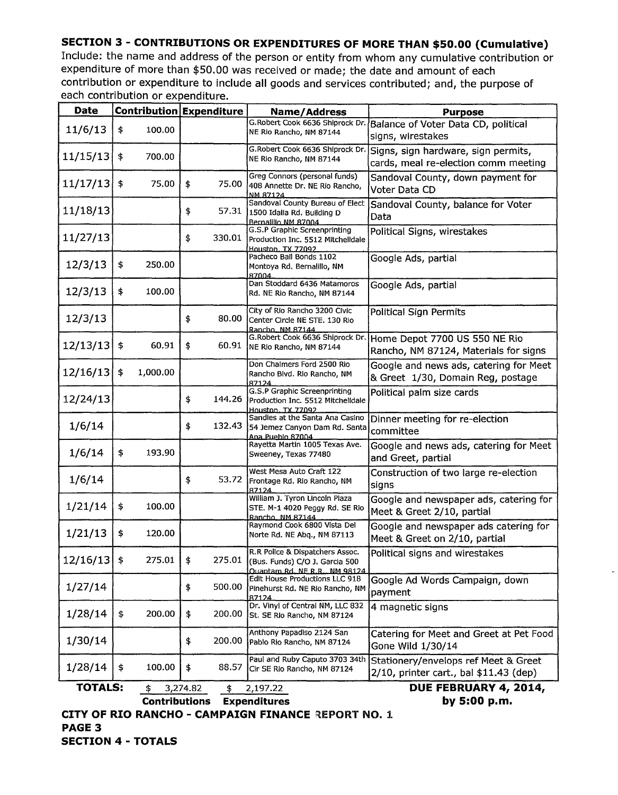# **SECTION 3 - CONTRIBUTIONS OR EXPENDITURES OF MORE THAN \$50.00 (Cumulative)**

Include: the name and address of the person or entity from whom any cumulative contribution or expenditure of more than \$50.00 was received or made; the date and amount of each contribution or expenditure to include all goods and services contributed; and, the purpose of each contribution or expenditure

| <b>Date</b>                                                                 |                        | Contribution Expenditure | <b>Name/Address</b>                                                                                | <b>Purpose</b>                                                                 |  |  |
|-----------------------------------------------------------------------------|------------------------|--------------------------|----------------------------------------------------------------------------------------------------|--------------------------------------------------------------------------------|--|--|
| 11/6/13                                                                     | 100.00<br>\$           |                          | G.Robert Cook 6636 Shiprock Dr.<br>NE Rio Rancho, NM 87144                                         | Balance of Voter Data CD, political<br>signs, wirestakes                       |  |  |
| 11/15/13                                                                    | \$<br>700.00           |                          | G.Robert Cook 6636 Shiprock Dr.<br>NE Rio Rancho, NM 87144                                         | Signs, sign hardware, sign permits,<br>cards, meal re-election comm meeting    |  |  |
| 11/17/13                                                                    | $\frac{1}{2}$<br>75.00 | \$<br>75.00              | Greg Connors (personal funds)<br>408 Annette Dr. NE Rio Rancho,<br>NM 87124                        | Sandoval County, down payment for<br>Voter Data CD                             |  |  |
| 11/18/13                                                                    |                        | \$<br>57.31              | Sandoval County Bureau of Elect<br>1500 Idalia Rd. Building D<br>Bernalillo NM 87004               | Sandoval County, balance for Voter<br>Data                                     |  |  |
| 11/27/13                                                                    |                        | 330.01<br>\$             | G.S.P Graphic Screenprinting<br>Production Inc. 5512 Mitchelldale<br>Houston, TX 77092             | Political Signs, wirestakes                                                    |  |  |
| 12/3/13                                                                     | \$<br>250.00           |                          | Pacheco Bail Bonds 1102<br>Montoya Rd. Bernalillo, NM<br>87004                                     | Google Ads, partial                                                            |  |  |
| 12/3/13                                                                     | \$<br>100.00           |                          | Dan Stoddard 6436 Matamoros<br>Rd. NE Rio Rancho, NM 87144                                         | Google Ads, partial                                                            |  |  |
| 12/3/13                                                                     |                        | \$<br>80.00              | City of Rio Rancho 3200 Civic<br>Center Circle NE STE, 130 Rio<br>Rancho, NM 87144                 | Political Sign Permits                                                         |  |  |
| 12/13/13                                                                    | \$<br>60.91            | \$<br>60.91              | G.Robert Cook 6636 Shiprock Dr.<br>NE Rio Rancho, NM 87144                                         | Home Depot 7700 US 550 NE Rio<br>Rancho, NM 87124, Materials for signs         |  |  |
| 12/16/13                                                                    | 1,000.00<br>\$         |                          | Don Chalmers Ford 2500 Rio<br>Rancho Blvd. Rio Rancho, NM<br>87124                                 | Google and news ads, catering for Meet<br>& Greet 1/30, Domain Reg, postage    |  |  |
| 12/24/13                                                                    |                        | \$<br>144.26             | G.S.P Graphic Screenprinting<br>Production Inc. 5512 Mitchelidale<br>Houston, TX, 77092            | Political palm size cards                                                      |  |  |
| 1/6/14                                                                      |                        | 132.43<br>\$             | Sandies at the Santa Ana Casino<br>54 Jemez Canyon Dam Rd. Santa<br>Ana Pueblo 87004               | Dinner meeting for re-election<br>committee                                    |  |  |
| 1/6/14                                                                      | 193.90<br>\$           |                          | Rayetta Martin 1005 Texas Ave.<br>Sweeney, Texas 77480                                             | Google and news ads, catering for Meet<br>and Greet, partial                   |  |  |
| 1/6/14                                                                      |                        | \$<br>53.72              | West Mesa Auto Craft 122<br>Frontage Rd. Rio Rancho, NM<br>87124                                   | Construction of two large re-election<br>signs                                 |  |  |
| 1/21/14                                                                     | \$<br>100.00           |                          | William J. Tyron Lincoln Plaza<br>STE. M-1 4020 Peggy Rd. SE Rio<br>Rancho, NM 87144               | Google and newspaper ads, catering for<br>Meet & Greet 2/10, partial           |  |  |
| 1/21/13                                                                     | \$<br>120.00           |                          | Raymond Cook 6800 Vista Del<br>Norte Rd. NE Abg., NM 87113                                         | Google and newspaper ads catering for<br>Meet & Greet on 2/10, partial         |  |  |
| $12/16/13$ \$                                                               | 275.01                 | \$<br>275.01             | R.R Police & Dispatchers Assoc.<br>(Bus. Funds) C/O J. Garcia 500<br>Quantam Rd. NE R.R., NM 98124 | Political signs and wirestakes                                                 |  |  |
| 1/27/14                                                                     |                        | \$<br>500.00             | Edit House Productions LLC 918<br>Pinehurst Rd. NE Rio Rancho, NM<br>87124                         | Google Ad Words Campaign, down<br>payment                                      |  |  |
| 1/28/14                                                                     | \$<br>200.00           | \$<br>200.00             | Dr. Vinyl of Central NM, LLC 832<br>St. SE Rio Rancho, NM 87124                                    | 4 magnetic signs                                                               |  |  |
| 1/30/14                                                                     |                        | 200.00<br>\$             | Anthony Papadiso 2124 San<br>Pablo Rio Rancho, NM 87124                                            | Catering for Meet and Greet at Pet Food<br>Gone Wild 1/30/14                   |  |  |
| 1/28/14                                                                     | 100.00<br>\$           | 88.57<br>\$              | Paul and Ruby Caputo 3703 34th<br>Cir SE Rio Rancho, NM 87124                                      | Stationery/envelops ref Meet & Greet<br>2/10, printer cart., bal \$11.43 (dep) |  |  |
| <b>TOTALS:</b><br>DUE FEBRUARY 4, 2014,<br>3,274.82<br>\$<br>2,197.22<br>\$ |                        |                          |                                                                                                    |                                                                                |  |  |
| by 5:00 p.m.<br><b>Contributions</b><br><b>Expenditures</b>                 |                        |                          |                                                                                                    |                                                                                |  |  |

**CITY OF RIO RANCHO - CAMPAIGN FINANCE REPORT NO. 1 PAGE 3 SECTION 4 - TOTALS**